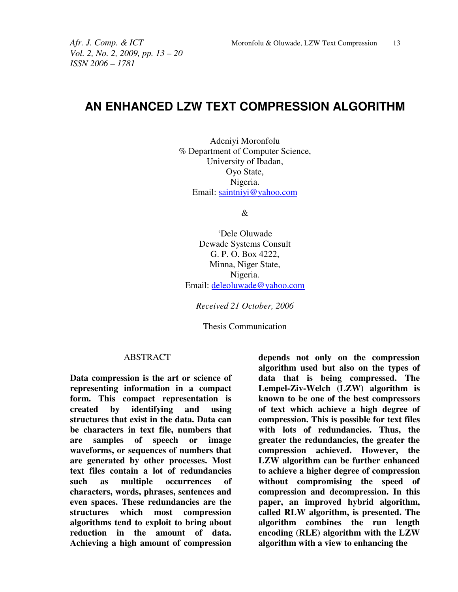*Vol. 2, No. 2, 2009, pp. 13 – 20 ISSN 2006 – 1781* 

# **AN ENHANCED LZW TEXT COMPRESSION ALGORITHM**

Adeniyi Moronfolu % Department of Computer Science, University of Ibadan, Oyo State, Nigeria. Email: saintniyi@yahoo.com

&

'Dele Oluwade Dewade Systems Consult G. P. O. Box 4222, Minna, Niger State, Nigeria. Email: deleoluwade@yahoo.com

*Received 21 October, 2006* 

Thesis Communication

#### ABSTRACT

**Data compression is the art or science of representing information in a compact form. This compact representation is created by identifying and using structures that exist in the data. Data can be characters in text file, numbers that are samples of speech or image waveforms, or sequences of numbers that are generated by other processes. Most text files contain a lot of redundancies such as multiple occurrences of characters, words, phrases, sentences and even spaces. These redundancies are the structures which most compression algorithms tend to exploit to bring about reduction in the amount of data. Achieving a high amount of compression** 

**depends not only on the compression algorithm used but also on the types of data that is being compressed. The Lempel-Ziv-Welch (LZW) algorithm is known to be one of the best compressors of text which achieve a high degree of compression. This is possible for text files with lots of redundancies. Thus, the greater the redundancies, the greater the compression achieved. However, the LZW algorithm can be further enhanced to achieve a higher degree of compression without compromising the speed of compression and decompression. In this paper, an improved hybrid algorithm, called RLW algorithm, is presented. The algorithm combines the run length encoding (RLE) algorithm with the LZW algorithm with a view to enhancing the**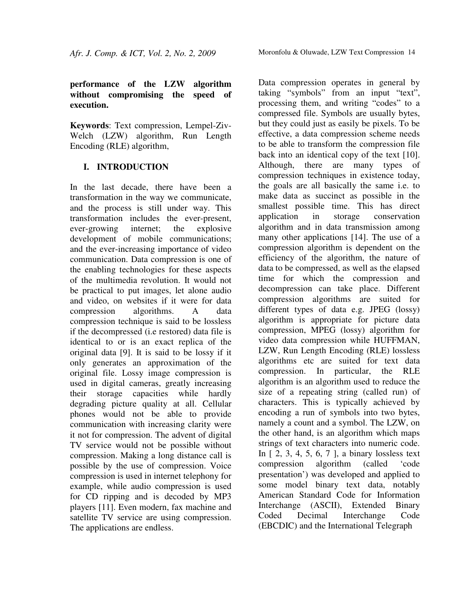# Moronfolu & Oluwade, LZW Text Compression 14

## **performance of the LZW algorithm without compromising the speed of execution.**

**Keywords**: Text compression, Lempel-Ziv-Welch (LZW) algorithm, Run Length Encoding (RLE) algorithm,

# **I. INTRODUCTION**

In the last decade, there have been a transformation in the way we communicate, and the process is still under way. This transformation includes the ever-present, ever-growing internet; the explosive development of mobile communications; and the ever-increasing importance of video communication. Data compression is one of the enabling technologies for these aspects of the multimedia revolution. It would not be practical to put images, let alone audio and video, on websites if it were for data compression algorithms. A data compression technique is said to be lossless if the decompressed (i.e restored) data file is identical to or is an exact replica of the original data [9]. It is said to be lossy if it only generates an approximation of the original file. Lossy image compression is used in digital cameras, greatly increasing their storage capacities while hardly degrading picture quality at all. Cellular phones would not be able to provide communication with increasing clarity were it not for compression. The advent of digital TV service would not be possible without compression. Making a long distance call is possible by the use of compression. Voice compression is used in internet telephony for example, while audio compression is used for CD ripping and is decoded by MP3 players [11]. Even modern, fax machine and satellite TV service are using compression. The applications are endless.

Data compression operates in general by taking "symbols" from an input "text", processing them, and writing "codes" to a compressed file. Symbols are usually bytes, but they could just as easily be pixels. To be effective, a data compression scheme needs to be able to transform the compression file back into an identical copy of the text [10]. Although, there are many types of compression techniques in existence today, the goals are all basically the same i.e. to make data as succinct as possible in the smallest possible time. This has direct application in storage conservation algorithm and in data transmission among many other applications [14]. The use of a compression algorithm is dependent on the efficiency of the algorithm, the nature of data to be compressed, as well as the elapsed time for which the compression and decompression can take place. Different compression algorithms are suited for different types of data e.g. JPEG (lossy) algorithm is appropriate for picture data compression, MPEG (lossy) algorithm for video data compression while HUFFMAN, LZW, Run Length Encoding (RLE) lossless algorithms etc are suited for text data compression. In particular, the RLE algorithm is an algorithm used to reduce the size of a repeating string (called run) of characters. This is typically achieved by encoding a run of symbols into two bytes, namely a count and a symbol. The LZW, on the other hand, is an algorithm which maps strings of text characters into numeric code. In  $[2, 3, 4, 5, 6, 7]$ , a binary lossless text compression algorithm (called 'code presentation') was developed and applied to some model binary text data, notably American Standard Code for Information Interchange (ASCII), Extended Binary Coded Decimal Interchange Code (EBCDIC) and the International Telegraph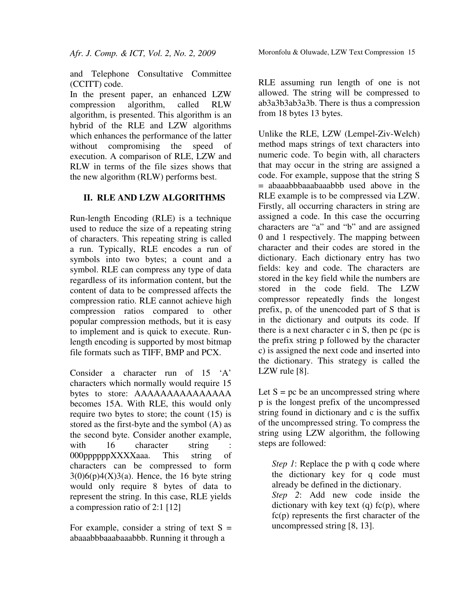and Telephone Consultative Committee (CCITT) code.

In the present paper, an enhanced LZW compression algorithm, called RLW algorithm, is presented. This algorithm is an hybrid of the RLE and LZW algorithms which enhances the performance of the latter without compromising the speed of execution. A comparison of RLE, LZW and RLW in terms of the file sizes shows that the new algorithm (RLW) performs best.

## **II. RLE AND LZW ALGORITHMS**

Run-length Encoding (RLE) is a technique used to reduce the size of a repeating string of characters. This repeating string is called a run. Typically, RLE encodes a run of symbols into two bytes; a count and a symbol. RLE can compress any type of data regardless of its information content, but the content of data to be compressed affects the compression ratio. RLE cannot achieve high compression ratios compared to other popular compression methods, but it is easy to implement and is quick to execute. Runlength encoding is supported by most bitmap file formats such as TIFF, BMP and PCX.

Consider a character run of 15 'A' characters which normally would require 15 bytes to store: AAAAAAAAAAAAAAA becomes 15A. With RLE, this would only require two bytes to store; the count (15) is stored as the first-byte and the symbol (A) as the second byte. Consider another example, with 16 character string 000ppppppXXXXaaa. This string of characters can be compressed to form  $3(0)6(p)4(X)3(a)$ . Hence, the 16 byte string would only require 8 bytes of data to represent the string. In this case, RLE yields a compression ratio of 2:1 [12]

For example, consider a string of text  $S =$ abaaabbbaaabaaabbb. Running it through a

RLE assuming run length of one is not allowed. The string will be compressed to ab3a3b3ab3a3b. There is thus a compression from 18 bytes 13 bytes.

Unlike the RLE, LZW (Lempel-Ziv-Welch) method maps strings of text characters into numeric code. To begin with, all characters that may occur in the string are assigned a code. For example, suppose that the string S = abaaabbbaaabaaabbb used above in the RLE example is to be compressed via LZW. Firstly, all occurring characters in string are assigned a code. In this case the occurring characters are "a" and "b" and are assigned 0 and 1 respectively. The mapping between character and their codes are stored in the dictionary. Each dictionary entry has two fields: key and code. The characters are stored in the key field while the numbers are stored in the code field. The LZW compressor repeatedly finds the longest prefix, p, of the unencoded part of S that is in the dictionary and outputs its code. If there is a next character c in S, then pc (pc is the prefix string p followed by the character c) is assigned the next code and inserted into the dictionary. This strategy is called the LZW rule [8].

Let  $S = pc$  be an uncompressed string where p is the longest prefix of the uncompressed string found in dictionary and c is the suffix of the uncompressed string. To compress the string using LZW algorithm, the following steps are followed:

*Step 1*: Replace the p with q code where the dictionary key for q code must already be defined in the dictionary. *Step 2*: Add new code inside the dictionary with key text  $(q)$  fc $(p)$ , where  $fc(p)$  represents the first character of the uncompressed string [8, 13].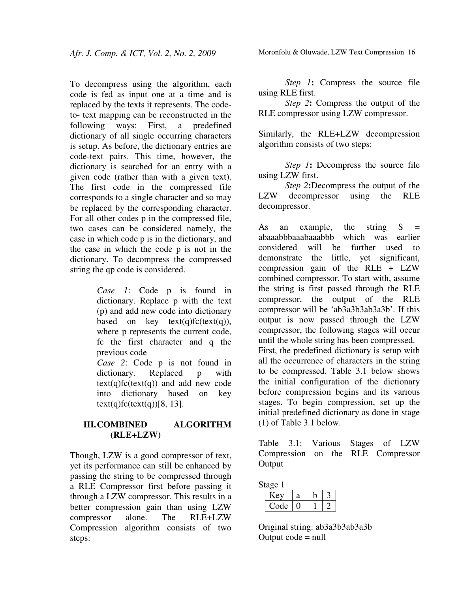To decompress using the algorithm, each code is fed as input one at a time and is replaced by the texts it represents. The codeto- text mapping can be reconstructed in the following ways: First, a predefined dictionary of all single occurring characters is setup. As before, the dictionary entries are code-text pairs. This time, however, the dictionary is searched for an entry with a given code (rather than with a given text). The first code in the compressed file corresponds to a single character and so may be replaced by the corresponding character. For all other codes p in the compressed file, two cases can be considered namely, the case in which code p is in the dictionary, and the case in which the code p is not in the dictionary. To decompress the compressed string the qp code is considered.

> *Case 1*: Code p is found in dictionary. Replace p with the text (p) and add new code into dictionary based on key  $text(q)fc(text(q)),$ where p represents the current code, fc the first character and q the previous code

> *Case 2*: Code p is not found in dictionary. Replaced p with  $text(q)fc(text(q))$  and add new code into dictionary based on key  $text(q)fc(text(q))[8, 13].$

### **III.COMBINED ALGORITHM (RLE+LZW)**

Though, LZW is a good compressor of text, yet its performance can still be enhanced by passing the string to be compressed through a RLE Compressor first before passing it through a LZW compressor. This results in a better compression gain than using LZW compressor alone. The RLE+LZW Compression algorithm consists of two steps:

*Step 1***:** Compress the source file using RLE first.

*Step 2***:** Compress the output of the RLE compressor using LZW compressor.

Similarly, the RLE+LZW decompression algorithm consists of two steps:

*Step 1***:** Decompress the source file using LZW first.

*Step 2***:**Decompress the output of the LZW decompressor using the RLE decompressor.

As an example, the string  $S =$ abaaabbbaaabaaabbb which was earlier considered will be further used to demonstrate the little, yet significant, compression gain of the RLE + LZW combined compressor. To start with, assume the string is first passed through the RLE compressor, the output of the RLE compressor will be 'ab3a3b3ab3a3b'. If this output is now passed through the LZW compressor, the following stages will occur until the whole string has been compressed. First, the predefined dictionary is setup with all the occurrence of characters in the string to be compressed. Table 3.1 below shows the initial configuration of the dictionary before compression begins and its various stages. To begin compression, set up the initial predefined dictionary as done in stage (1) of Table 3.1 below.

Table 3.1: Various Stages of LZW Compression on the RLE Compressor Output

| Stage 1 |  |  |
|---------|--|--|
| Aτ      |  |  |
| Code    |  |  |

Original string: ab3a3b3ab3a3b Output  $code = null$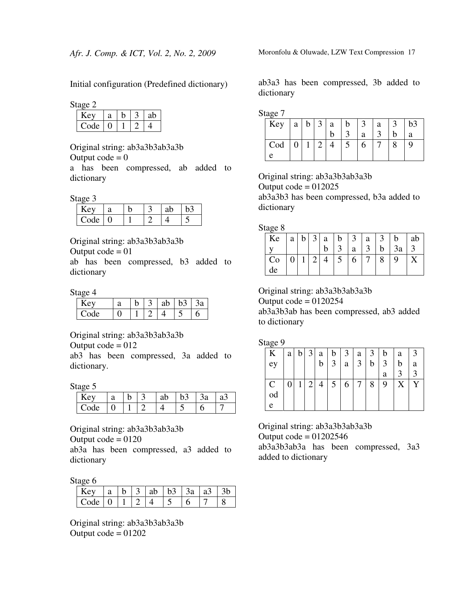Initial configuration (Predefined dictionary)

Stage 2

| , ev | a |  | ab |
|------|---|--|----|
| `ode |   |  |    |

Original string: ab3a3b3ab3a3b

Output  $code = 0$ 

a has been compressed, ab added to dictionary

Stage 3

| e۱)  | a |  | ab |  |
|------|---|--|----|--|
| Code |   |  |    |  |

Original string: ab3a3b3ab3a3b

Output  $code = 01$ 

ab has been compressed, b3 added to dictionary

Stage 4

| $\Delta V$ |  | ab |  |
|------------|--|----|--|
| `ode       |  |    |  |

Original string: ab3a3b3ab3a3b

Output  $code = 012$ 

ab3 has been compressed, 3a added to dictionary.

Stage 5

| c |  |  |  |
|---|--|--|--|
|   |  |  |  |

Original string: ab3a3b3ab3a3b

Output  $code = 0120$ 

ab3a has been compressed, a3 added to dictionary

Stage 6

|         |  | 3 Lab L |  |  |
|---------|--|---------|--|--|
| ' `∩de_ |  |         |  |  |

Original string: ab3a3b3ab3a3b Output  $code = 01202$ 

Moronfolu & Oluwade, LZW Text Compression 17

ab3a3 has been compressed, 3b added to dictionary

Stage 7

| nac |   |                |                |   |   |   |    |
|-----|---|----------------|----------------|---|---|---|----|
| Key | a | b <sub>1</sub> | $\overline{3}$ | a |   | a | b3 |
|     |   |                |                |   | я | ⌒ | а  |
| Cod |   |                |                |   |   |   |    |
|     |   |                |                |   |   |   |    |

Original string: ab3a3b3ab3a3b Output  $code = 012025$ ab3a3b3 has been compressed, b3a added to dictionary

Stage 8

| Ke | a | b | 3 <sup>1</sup> | $a \mid b$ | 3 | $^{\circ}$ a | b  | ab |
|----|---|---|----------------|------------|---|--------------|----|----|
|    |   |   |                |            | a |              | 3a |    |
| Co |   |   |                |            | O |              | 9  |    |
| de |   |   |                |            |   |              |    |    |

Original string: ab3a3b3ab3a3b

Output  $code = 0120254$ 

added to dictionary

ab3a3b3ab has been compressed, ab3 added to dictionary

Stage 9

| ాం           | a | b | 3 <sup>1</sup> | a | b              | $\begin{array}{ c c c } \hline 3 & a \\ \hline \end{array}$ |                | 3 <sup>1</sup> | $\mathbf b$    | a | 3 |
|--------------|---|---|----------------|---|----------------|-------------------------------------------------------------|----------------|----------------|----------------|---|---|
| ey           |   |   |                | b | $\overline{3}$ | a                                                           | $\overline{3}$ | b              | $\overline{3}$ |   | a |
|              |   |   |                |   |                |                                                             |                |                | a              |   |   |
| $\mathsf{C}$ |   |   | 2              |   | 5              |                                                             |                | 8              | 9              | X |   |
| od           |   |   |                |   |                |                                                             |                |                |                |   |   |
| e            |   |   |                |   |                |                                                             |                |                |                |   |   |

Original string: ab3a3b3ab3a3b Output  $code = 01202546$ ab3a3b3ab3a has been compressed, 3a3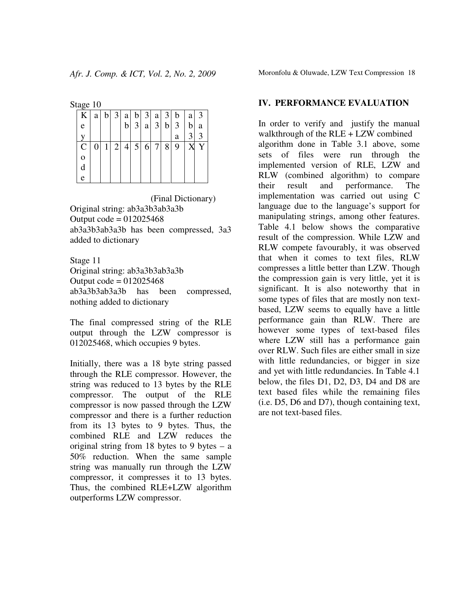Stage 10

| ے           |   |   |                |              |                |             |                |                |             |                |   |
|-------------|---|---|----------------|--------------|----------------|-------------|----------------|----------------|-------------|----------------|---|
| K           | a |   | $b \mid 3$     | a            |                | $b \mid 3 $ | a              | 3 <sup>1</sup> | $\mathbf b$ | a              | 3 |
| e           |   |   |                | $\mathbf{b}$ | $\overline{3}$ | a           | $3\vert$       | $\mathbf b$    | 3           | b              | a |
|             |   |   |                |              |                |             |                |                | a           | $\overline{3}$ | 3 |
| $\mathbf C$ | 0 | 1 | $\overline{2}$ |              | $4 \mid 5$     | 6           | 7 <sup>1</sup> | 8              | 9           | X              | Y |
| $\mathbf 0$ |   |   |                |              |                |             |                |                |             |                |   |
| d           |   |   |                |              |                |             |                |                |             |                |   |
| e           |   |   |                |              |                |             |                |                |             |                |   |

 (Final Dictionary) Original string: ab3a3b3ab3a3b Output  $code = 012025468$ ab3a3b3ab3a3b has been compressed, 3a3 added to dictionary

Stage 11 Original string: ab3a3b3ab3a3b Output  $code = 012025468$ ab3a3b3ab3a3b has been compressed, nothing added to dictionary

The final compressed string of the RLE output through the LZW compressor is 012025468, which occupies 9 bytes.

Initially, there was a 18 byte string passed through the RLE compressor. However, the string was reduced to 13 bytes by the RLE compressor. The output of the RLE compressor is now passed through the LZW compressor and there is a further reduction from its 13 bytes to 9 bytes. Thus, the combined RLE and LZW reduces the original string from 18 bytes to 9 bytes  $-$  a 50% reduction. When the same sample string was manually run through the LZW compressor, it compresses it to 13 bytes. Thus, the combined RLE+LZW algorithm outperforms LZW compressor.

Moronfolu & Oluwade, LZW Text Compression 18

#### **IV. PERFORMANCE EVALUATION**

In order to verify and justify the manual walkthrough of the RLE + LZW combined algorithm done in Table 3.1 above, some sets of files were run through the implemented version of RLE, LZW and RLW (combined algorithm) to compare their result and performance. The implementation was carried out using C language due to the language's support for manipulating strings, among other features. Table 4.1 below shows the comparative result of the compression. While LZW and RLW compete favourably, it was observed that when it comes to text files, RLW compresses a little better than LZW. Though the compression gain is very little, yet it is significant. It is also noteworthy that in some types of files that are mostly non textbased, LZW seems to equally have a little performance gain than RLW. There are however some types of text-based files where LZW still has a performance gain over RLW. Such files are either small in size with little redundancies, or bigger in size and yet with little redundancies. In Table 4.1 below, the files D1, D2, D3, D4 and D8 are text based files while the remaining files (i.e. D5, D6 and D7), though containing text, are not text-based files.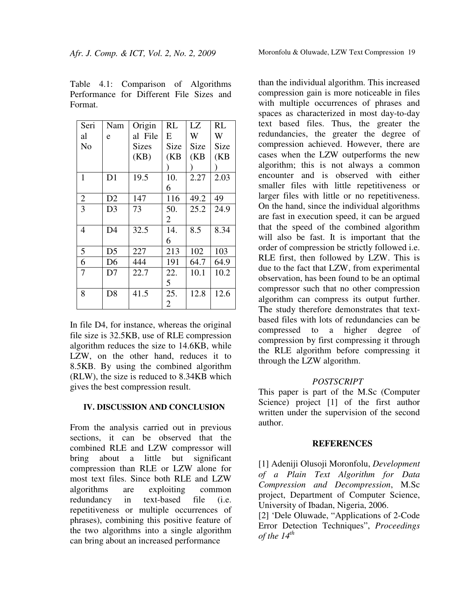| Table 4.1: Comparison of Algorithms      |  |  |  |
|------------------------------------------|--|--|--|
| Performance for Different File Sizes and |  |  |  |
| Format.                                  |  |  |  |

| Seri           | Nam            | Origin       | <b>RL</b>      | LZ   | <b>RL</b> |
|----------------|----------------|--------------|----------------|------|-----------|
| al             | e              | al File      | E              | W    | W         |
| N <sub>0</sub> |                | <b>Sizes</b> | Size           | Size | Size      |
|                |                | (KB)         | (KB)           | (KB) | (KB)      |
|                |                |              |                |      |           |
| 1              | D <sub>1</sub> | 19.5         | 10.            | 2.27 | 2.03      |
|                |                |              | 6              |      |           |
| $\overline{2}$ | D2             | 147          | 116            | 49.2 | 49        |
| $\overline{3}$ | D <sub>3</sub> | 73           | 50.            | 25.2 | 24.9      |
|                |                |              | 2              |      |           |
| 4              | D <sub>4</sub> | 32.5         | 14.            | 8.5  | 8.34      |
|                |                |              | 6              |      |           |
| 5              | D <sub>5</sub> | 227          | 213            | 102  | 103       |
| 6              | D <sub>6</sub> | 444          | 191            | 64.7 | 64.9      |
| 7              | D7             | 22.7         | 22.            | 10.1 | 10.2      |
|                |                |              | 5              |      |           |
| 8              | D <sub>8</sub> | 41.5         | 25.            | 12.8 | 12.6      |
|                |                |              | $\overline{2}$ |      |           |

In file D4, for instance, whereas the original file size is 32.5KB, use of RLE compression algorithm reduces the size to 14.6KB, while LZW, on the other hand, reduces it to 8.5KB. By using the combined algorithm (RLW), the size is reduced to 8.34KB which gives the best compression result.

#### **IV. DISCUSSION AND CONCLUSION**

From the analysis carried out in previous sections, it can be observed that the combined RLE and LZW compressor will bring about a little but significant compression than RLE or LZW alone for most text files. Since both RLE and LZW algorithms are exploiting common redundancy in text-based file (i.e. repetitiveness or multiple occurrences of phrases), combining this positive feature of the two algorithms into a single algorithm can bring about an increased performance

than the individual algorithm. This increased compression gain is more noticeable in files with multiple occurrences of phrases and spaces as characterized in most day-to-day text based files. Thus, the greater the redundancies, the greater the degree of compression achieved. However, there are cases when the LZW outperforms the new algorithm; this is not always a common encounter and is observed with either smaller files with little repetitiveness or larger files with little or no repetitiveness. On the hand, since the individual algorithms are fast in execution speed, it can be argued that the speed of the combined algorithm will also be fast. It is important that the order of compression be strictly followed i.e. RLE first, then followed by LZW. This is due to the fact that LZW, from experimental observation, has been found to be an optimal compressor such that no other compression algorithm can compress its output further. The study therefore demonstrates that textbased files with lots of redundancies can be compressed to a higher degree of compression by first compressing it through the RLE algorithm before compressing it through the LZW algorithm.

### *POSTSCRIPT*

This paper is part of the M.Sc (Computer Science) project [1] of the first author written under the supervision of the second author.

### **REFERENCES**

[1] Adeniji Olusoji Moronfolu, *Development of a Plain Text Algorithm for Data Compression and Decompression*, M.Sc project, Department of Computer Science, University of Ibadan, Nigeria, 2006.

[2] 'Dele Oluwade, "Applications of 2-Code Error Detection Techniques", *Proceedings of the 14th*